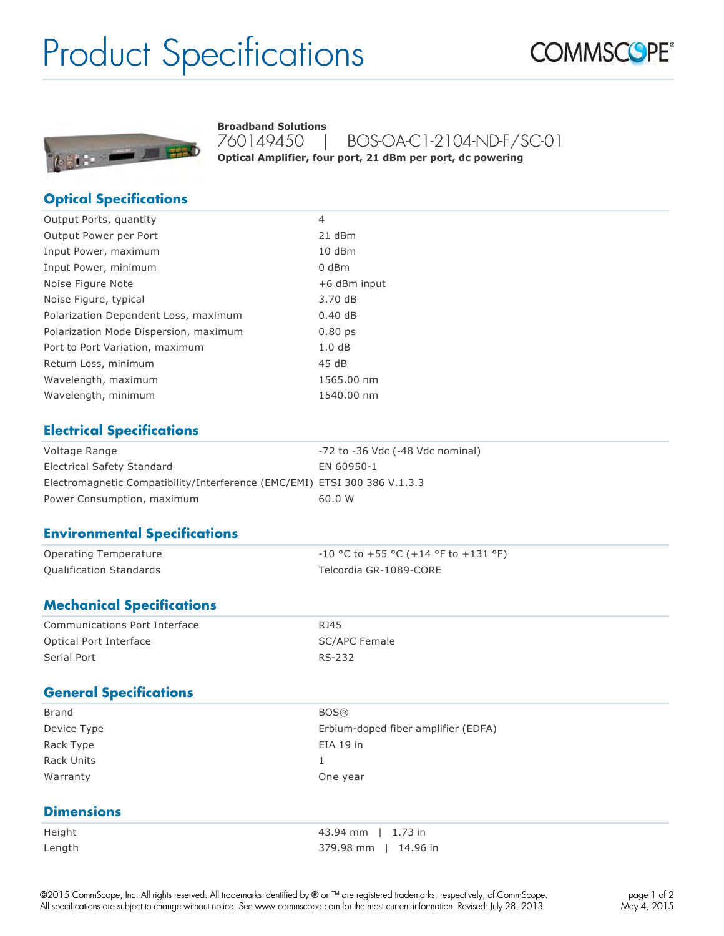# Product Specifications





760149450 | BOS-OA-C1-2104-ND-F/SC-01 **Optical Amplifier, four port, 21 dBm per port, dc powering Broadband Solutions**

#### **Optical Specifications**

| 4                  |
|--------------------|
| 21 dBm             |
| 10 dBm             |
| 0 dBm              |
| +6 dBm input       |
| 3.70 dB            |
| 0.40dB             |
| 0.80 <sub>ps</sub> |
| 1.0dB              |
| 45dB               |
| 1565.00 nm         |
| 1540.00 nm         |
|                    |

#### **Electrical Specifications**

| Voltage Range                                                             | -72 to -36 Vdc (-48 Vdc nominal) |
|---------------------------------------------------------------------------|----------------------------------|
| Electrical Safety Standard                                                | EN 60950-1                       |
| Electromagnetic Compatibility/Interference (EMC/EMI) ETSI 300 386 V.1.3.3 |                                  |
| Power Consumption, maximum                                                | 60.0 W                           |

#### **Environmental Specifications**

| Operating Temperature          | $-10$ °C to +55 °C (+14 °F to +131 °F) |
|--------------------------------|----------------------------------------|
| <b>Qualification Standards</b> | Telcordia GR-1089-CORE                 |

#### **Mechanical Specifications**

| Communications Port Interface | R <sub>145</sub> |
|-------------------------------|------------------|
| Optical Port Interface        | SC/APC Female    |
| Serial Port                   | RS-232           |

#### **General Specifications**

| Brand       | <b>BOS®</b>                         |
|-------------|-------------------------------------|
| Device Type | Erbium-doped fiber amplifier (EDFA) |
| Rack Type   | $EIA$ 19 in                         |
| Rack Units  |                                     |
| Warranty    | One year                            |
|             |                                     |

#### **Dimensions**

| Height |  |
|--------|--|
| Length |  |

43.94 mm | 1.73 in 379.98 mm | 14.96 in